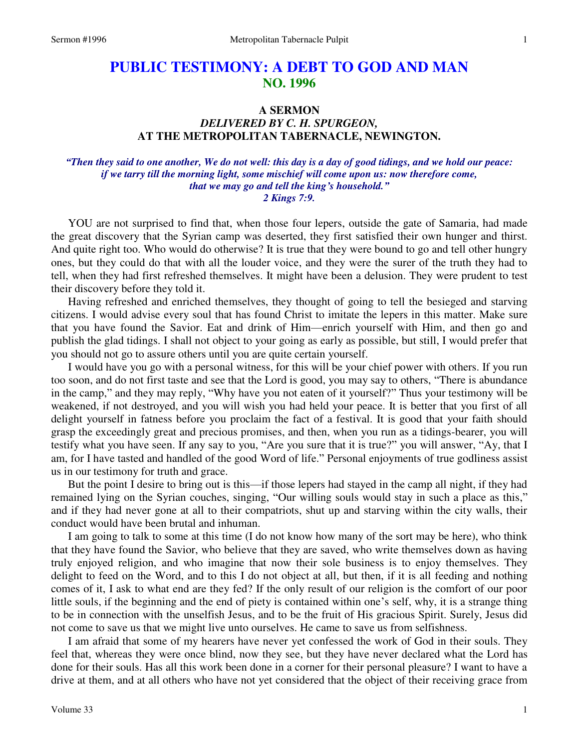# **PUBLIC TESTIMONY: A DEBT TO GOD AND MAN NO. 1996**

#### **A SERMON**

# *DELIVERED BY C. H. SPURGEON,*  **AT THE METROPOLITAN TABERNACLE, NEWINGTON.**

### *"Then they said to one another, We do not well: this day is a day of good tidings, and we hold our peace: if we tarry till the morning light, some mischief will come upon us: now therefore come, that we may go and tell the king's household." 2 Kings 7:9.*

YOU are not surprised to find that, when those four lepers, outside the gate of Samaria, had made the great discovery that the Syrian camp was deserted, they first satisfied their own hunger and thirst. And quite right too. Who would do otherwise? It is true that they were bound to go and tell other hungry ones, but they could do that with all the louder voice, and they were the surer of the truth they had to tell, when they had first refreshed themselves. It might have been a delusion. They were prudent to test their discovery before they told it.

Having refreshed and enriched themselves, they thought of going to tell the besieged and starving citizens. I would advise every soul that has found Christ to imitate the lepers in this matter. Make sure that you have found the Savior. Eat and drink of Him—enrich yourself with Him, and then go and publish the glad tidings. I shall not object to your going as early as possible, but still, I would prefer that you should not go to assure others until you are quite certain yourself.

I would have you go with a personal witness, for this will be your chief power with others. If you run too soon, and do not first taste and see that the Lord is good, you may say to others, "There is abundance in the camp," and they may reply, "Why have you not eaten of it yourself?" Thus your testimony will be weakened, if not destroyed, and you will wish you had held your peace. It is better that you first of all delight yourself in fatness before you proclaim the fact of a festival. It is good that your faith should grasp the exceedingly great and precious promises, and then, when you run as a tidings-bearer, you will testify what you have seen. If any say to you, "Are you sure that it is true?" you will answer, "Ay, that I am, for I have tasted and handled of the good Word of life." Personal enjoyments of true godliness assist us in our testimony for truth and grace.

But the point I desire to bring out is this—if those lepers had stayed in the camp all night, if they had remained lying on the Syrian couches, singing, "Our willing souls would stay in such a place as this," and if they had never gone at all to their compatriots, shut up and starving within the city walls, their conduct would have been brutal and inhuman.

I am going to talk to some at this time (I do not know how many of the sort may be here), who think that they have found the Savior, who believe that they are saved, who write themselves down as having truly enjoyed religion, and who imagine that now their sole business is to enjoy themselves. They delight to feed on the Word, and to this I do not object at all, but then, if it is all feeding and nothing comes of it, I ask to what end are they fed? If the only result of our religion is the comfort of our poor little souls, if the beginning and the end of piety is contained within one's self, why, it is a strange thing to be in connection with the unselfish Jesus, and to be the fruit of His gracious Spirit. Surely, Jesus did not come to save us that we might live unto ourselves. He came to save us from selfishness.

I am afraid that some of my hearers have never yet confessed the work of God in their souls. They feel that, whereas they were once blind, now they see, but they have never declared what the Lord has done for their souls. Has all this work been done in a corner for their personal pleasure? I want to have a drive at them, and at all others who have not yet considered that the object of their receiving grace from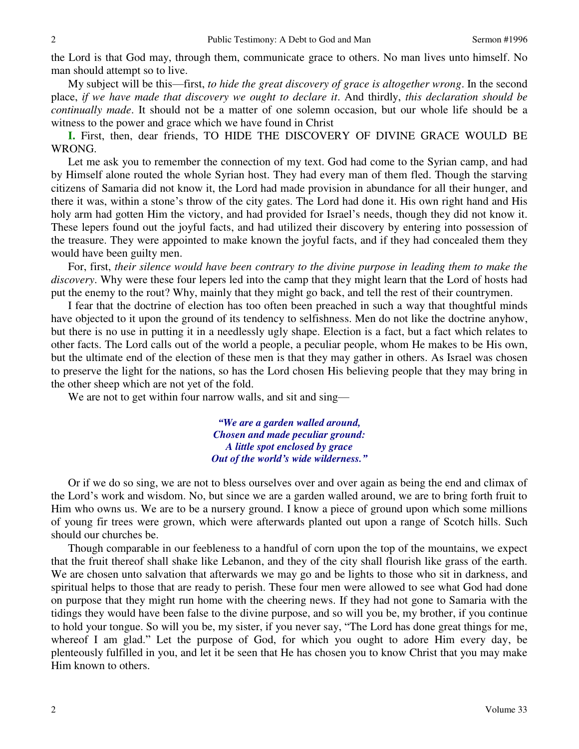the Lord is that God may, through them, communicate grace to others. No man lives unto himself. No man should attempt so to live.

My subject will be this—first, *to hide the great discovery of grace is altogether wrong*. In the second place, *if we have made that discovery we ought to declare it*. And thirdly, *this declaration should be continually made*. It should not be a matter of one solemn occasion, but our whole life should be a witness to the power and grace which we have found in Christ

**I.** First, then, dear friends, TO HIDE THE DISCOVERY OF DIVINE GRACE WOULD BE WRONG.

Let me ask you to remember the connection of my text. God had come to the Syrian camp, and had by Himself alone routed the whole Syrian host. They had every man of them fled. Though the starving citizens of Samaria did not know it, the Lord had made provision in abundance for all their hunger, and there it was, within a stone's throw of the city gates. The Lord had done it. His own right hand and His holy arm had gotten Him the victory, and had provided for Israel's needs, though they did not know it. These lepers found out the joyful facts, and had utilized their discovery by entering into possession of the treasure. They were appointed to make known the joyful facts, and if they had concealed them they would have been guilty men.

For, first, *their silence would have been contrary to the divine purpose in leading them to make the discovery*. Why were these four lepers led into the camp that they might learn that the Lord of hosts had put the enemy to the rout? Why, mainly that they might go back, and tell the rest of their countrymen.

I fear that the doctrine of election has too often been preached in such a way that thoughtful minds have objected to it upon the ground of its tendency to selfishness. Men do not like the doctrine anyhow, but there is no use in putting it in a needlessly ugly shape. Election is a fact, but a fact which relates to other facts. The Lord calls out of the world a people, a peculiar people, whom He makes to be His own, but the ultimate end of the election of these men is that they may gather in others. As Israel was chosen to preserve the light for the nations, so has the Lord chosen His believing people that they may bring in the other sheep which are not yet of the fold.

We are not to get within four narrow walls, and sit and sing-

*"We are a garden walled around, Chosen and made peculiar ground: A little spot enclosed by grace Out of the world's wide wilderness."*

Or if we do so sing, we are not to bless ourselves over and over again as being the end and climax of the Lord's work and wisdom. No, but since we are a garden walled around, we are to bring forth fruit to Him who owns us. We are to be a nursery ground. I know a piece of ground upon which some millions of young fir trees were grown, which were afterwards planted out upon a range of Scotch hills. Such should our churches be.

Though comparable in our feebleness to a handful of corn upon the top of the mountains, we expect that the fruit thereof shall shake like Lebanon, and they of the city shall flourish like grass of the earth. We are chosen unto salvation that afterwards we may go and be lights to those who sit in darkness, and spiritual helps to those that are ready to perish. These four men were allowed to see what God had done on purpose that they might run home with the cheering news. If they had not gone to Samaria with the tidings they would have been false to the divine purpose, and so will you be, my brother, if you continue to hold your tongue. So will you be, my sister, if you never say, "The Lord has done great things for me, whereof I am glad." Let the purpose of God, for which you ought to adore Him every day, be plenteously fulfilled in you, and let it be seen that He has chosen you to know Christ that you may make Him known to others.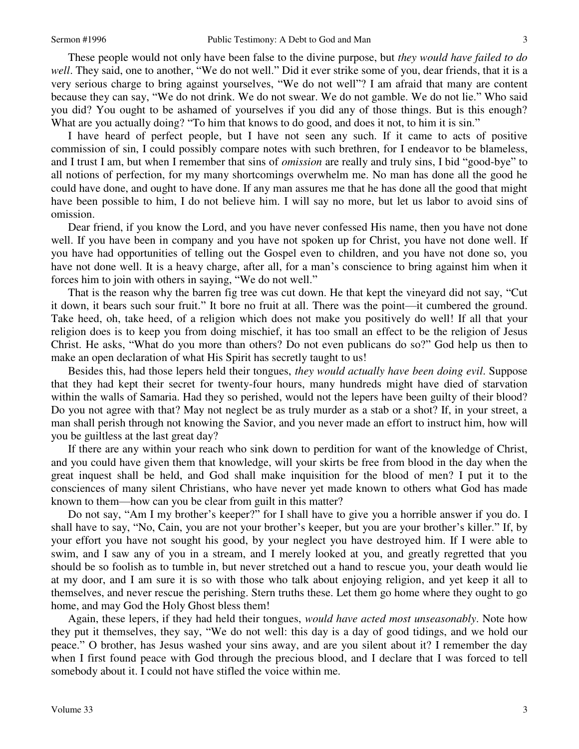These people would not only have been false to the divine purpose, but *they would have failed to do well*. They said, one to another, "We do not well." Did it ever strike some of you, dear friends, that it is a very serious charge to bring against yourselves, "We do not well"? I am afraid that many are content because they can say, "We do not drink. We do not swear. We do not gamble. We do not lie." Who said you did? You ought to be ashamed of yourselves if you did any of those things. But is this enough? What are you actually doing? "To him that knows to do good, and does it not, to him it is sin."

I have heard of perfect people, but I have not seen any such. If it came to acts of positive commission of sin, I could possibly compare notes with such brethren, for I endeavor to be blameless, and I trust I am, but when I remember that sins of *omission* are really and truly sins, I bid "good-bye" to all notions of perfection, for my many shortcomings overwhelm me. No man has done all the good he could have done, and ought to have done. If any man assures me that he has done all the good that might have been possible to him, I do not believe him. I will say no more, but let us labor to avoid sins of omission.

Dear friend, if you know the Lord, and you have never confessed His name, then you have not done well. If you have been in company and you have not spoken up for Christ, you have not done well. If you have had opportunities of telling out the Gospel even to children, and you have not done so, you have not done well. It is a heavy charge, after all, for a man's conscience to bring against him when it forces him to join with others in saying, "We do not well."

That is the reason why the barren fig tree was cut down. He that kept the vineyard did not say, "Cut it down, it bears such sour fruit." It bore no fruit at all. There was the point—it cumbered the ground. Take heed, oh, take heed, of a religion which does not make you positively do well! If all that your religion does is to keep you from doing mischief, it has too small an effect to be the religion of Jesus Christ. He asks, "What do you more than others? Do not even publicans do so?" God help us then to make an open declaration of what His Spirit has secretly taught to us!

Besides this, had those lepers held their tongues, *they would actually have been doing evil*. Suppose that they had kept their secret for twenty-four hours, many hundreds might have died of starvation within the walls of Samaria. Had they so perished, would not the lepers have been guilty of their blood? Do you not agree with that? May not neglect be as truly murder as a stab or a shot? If, in your street, a man shall perish through not knowing the Savior, and you never made an effort to instruct him, how will you be guiltless at the last great day?

If there are any within your reach who sink down to perdition for want of the knowledge of Christ, and you could have given them that knowledge, will your skirts be free from blood in the day when the great inquest shall be held, and God shall make inquisition for the blood of men? I put it to the consciences of many silent Christians, who have never yet made known to others what God has made known to them—how can you be clear from guilt in this matter?

Do not say, "Am I my brother's keeper?" for I shall have to give you a horrible answer if you do. I shall have to say, "No, Cain, you are not your brother's keeper, but you are your brother's killer." If, by your effort you have not sought his good, by your neglect you have destroyed him. If I were able to swim, and I saw any of you in a stream, and I merely looked at you, and greatly regretted that you should be so foolish as to tumble in, but never stretched out a hand to rescue you, your death would lie at my door, and I am sure it is so with those who talk about enjoying religion, and yet keep it all to themselves, and never rescue the perishing. Stern truths these. Let them go home where they ought to go home, and may God the Holy Ghost bless them!

Again, these lepers, if they had held their tongues, *would have acted most unseasonably*. Note how they put it themselves, they say, "We do not well: this day is a day of good tidings, and we hold our peace." O brother, has Jesus washed your sins away, and are you silent about it? I remember the day when I first found peace with God through the precious blood, and I declare that I was forced to tell somebody about it. I could not have stifled the voice within me.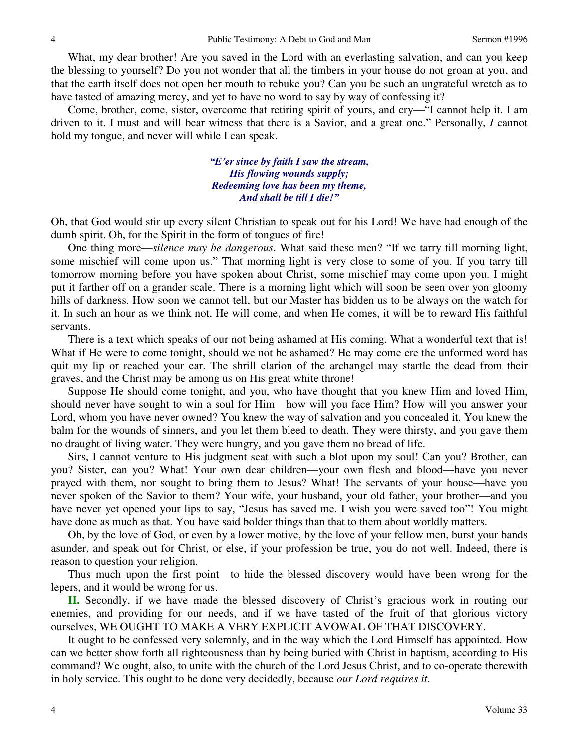What, my dear brother! Are you saved in the Lord with an everlasting salvation, and can you keep the blessing to yourself? Do you not wonder that all the timbers in your house do not groan at you, and that the earth itself does not open her mouth to rebuke you? Can you be such an ungrateful wretch as to have tasted of amazing mercy, and yet to have no word to say by way of confessing it?

Come, brother, come, sister, overcome that retiring spirit of yours, and cry—"I cannot help it. I am driven to it. I must and will bear witness that there is a Savior, and a great one." Personally, *I* cannot hold my tongue, and never will while I can speak.

> *"E'er since by faith I saw the stream, His flowing wounds supply; Redeeming love has been my theme, And shall be till I die!"*

Oh, that God would stir up every silent Christian to speak out for his Lord! We have had enough of the dumb spirit. Oh, for the Spirit in the form of tongues of fire!

One thing more—*silence may be dangerous*. What said these men? "If we tarry till morning light, some mischief will come upon us." That morning light is very close to some of you. If you tarry till tomorrow morning before you have spoken about Christ, some mischief may come upon you. I might put it farther off on a grander scale. There is a morning light which will soon be seen over yon gloomy hills of darkness. How soon we cannot tell, but our Master has bidden us to be always on the watch for it. In such an hour as we think not, He will come, and when He comes, it will be to reward His faithful servants.

There is a text which speaks of our not being ashamed at His coming. What a wonderful text that is! What if He were to come tonight, should we not be ashamed? He may come ere the unformed word has quit my lip or reached your ear. The shrill clarion of the archangel may startle the dead from their graves, and the Christ may be among us on His great white throne!

Suppose He should come tonight, and you, who have thought that you knew Him and loved Him, should never have sought to win a soul for Him—how will you face Him? How will you answer your Lord, whom you have never owned? You knew the way of salvation and you concealed it. You knew the balm for the wounds of sinners, and you let them bleed to death. They were thirsty, and you gave them no draught of living water. They were hungry, and you gave them no bread of life.

Sirs, I cannot venture to His judgment seat with such a blot upon my soul! Can you? Brother, can you? Sister, can you? What! Your own dear children—your own flesh and blood—have you never prayed with them, nor sought to bring them to Jesus? What! The servants of your house—have you never spoken of the Savior to them? Your wife, your husband, your old father, your brother—and you have never yet opened your lips to say, "Jesus has saved me. I wish you were saved too"! You might have done as much as that. You have said bolder things than that to them about worldly matters.

Oh, by the love of God, or even by a lower motive, by the love of your fellow men, burst your bands asunder, and speak out for Christ, or else, if your profession be true, you do not well. Indeed, there is reason to question your religion.

Thus much upon the first point—to hide the blessed discovery would have been wrong for the lepers, and it would be wrong for us.

**II.** Secondly, if we have made the blessed discovery of Christ's gracious work in routing our enemies, and providing for our needs, and if we have tasted of the fruit of that glorious victory ourselves, WE OUGHT TO MAKE A VERY EXPLICIT AVOWAL OF THAT DISCOVERY.

It ought to be confessed very solemnly, and in the way which the Lord Himself has appointed. How can we better show forth all righteousness than by being buried with Christ in baptism, according to His command? We ought, also, to unite with the church of the Lord Jesus Christ, and to co-operate therewith in holy service. This ought to be done very decidedly, because *our Lord requires it*.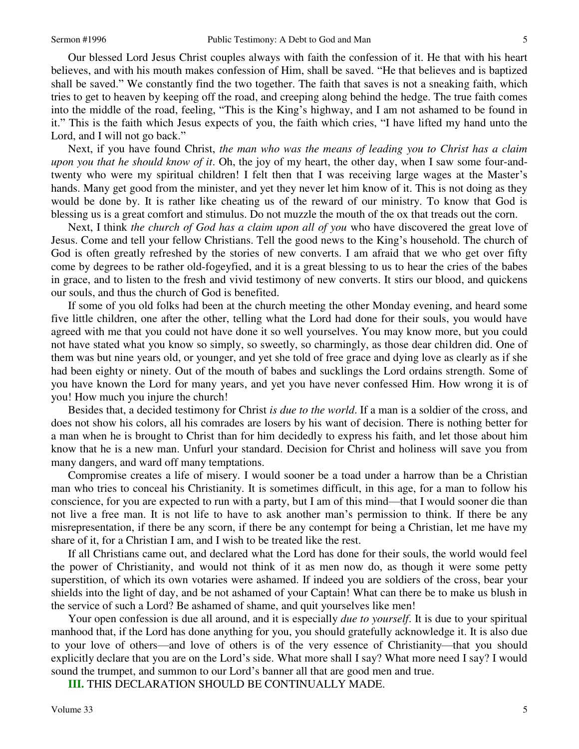Our blessed Lord Jesus Christ couples always with faith the confession of it. He that with his heart believes, and with his mouth makes confession of Him, shall be saved. "He that believes and is baptized shall be saved." We constantly find the two together. The faith that saves is not a sneaking faith, which tries to get to heaven by keeping off the road, and creeping along behind the hedge. The true faith comes into the middle of the road, feeling, "This is the King's highway, and I am not ashamed to be found in it." This is the faith which Jesus expects of you, the faith which cries, "I have lifted my hand unto the Lord, and I will not go back."

Next, if you have found Christ, *the man who was the means of leading you to Christ has a claim upon you that he should know of it*. Oh, the joy of my heart, the other day, when I saw some four-andtwenty who were my spiritual children! I felt then that I was receiving large wages at the Master's hands. Many get good from the minister, and yet they never let him know of it. This is not doing as they would be done by. It is rather like cheating us of the reward of our ministry. To know that God is blessing us is a great comfort and stimulus. Do not muzzle the mouth of the ox that treads out the corn.

Next, I think *the church of God has a claim upon all of you* who have discovered the great love of Jesus. Come and tell your fellow Christians. Tell the good news to the King's household. The church of God is often greatly refreshed by the stories of new converts. I am afraid that we who get over fifty come by degrees to be rather old-fogeyfied, and it is a great blessing to us to hear the cries of the babes in grace, and to listen to the fresh and vivid testimony of new converts. It stirs our blood, and quickens our souls, and thus the church of God is benefited.

If some of you old folks had been at the church meeting the other Monday evening, and heard some five little children, one after the other, telling what the Lord had done for their souls, you would have agreed with me that you could not have done it so well yourselves. You may know more, but you could not have stated what you know so simply, so sweetly, so charmingly, as those dear children did. One of them was but nine years old, or younger, and yet she told of free grace and dying love as clearly as if she had been eighty or ninety. Out of the mouth of babes and sucklings the Lord ordains strength. Some of you have known the Lord for many years, and yet you have never confessed Him. How wrong it is of you! How much you injure the church!

Besides that, a decided testimony for Christ *is due to the world*. If a man is a soldier of the cross, and does not show his colors, all his comrades are losers by his want of decision. There is nothing better for a man when he is brought to Christ than for him decidedly to express his faith, and let those about him know that he is a new man. Unfurl your standard. Decision for Christ and holiness will save you from many dangers, and ward off many temptations.

Compromise creates a life of misery. I would sooner be a toad under a harrow than be a Christian man who tries to conceal his Christianity. It is sometimes difficult, in this age, for a man to follow his conscience, for you are expected to run with a party, but I am of this mind—that I would sooner die than not live a free man. It is not life to have to ask another man's permission to think. If there be any misrepresentation, if there be any scorn, if there be any contempt for being a Christian, let me have my share of it, for a Christian I am, and I wish to be treated like the rest.

If all Christians came out, and declared what the Lord has done for their souls, the world would feel the power of Christianity, and would not think of it as men now do, as though it were some petty superstition, of which its own votaries were ashamed. If indeed you are soldiers of the cross, bear your shields into the light of day, and be not ashamed of your Captain! What can there be to make us blush in the service of such a Lord? Be ashamed of shame, and quit yourselves like men!

Your open confession is due all around, and it is especially *due to yourself*. It is due to your spiritual manhood that, if the Lord has done anything for you, you should gratefully acknowledge it. It is also due to your love of others—and love of others is of the very essence of Christianity—that you should explicitly declare that you are on the Lord's side. What more shall I say? What more need I say? I would sound the trumpet, and summon to our Lord's banner all that are good men and true.

**III.** THIS DECLARATION SHOULD BE CONTINUALLY MADE.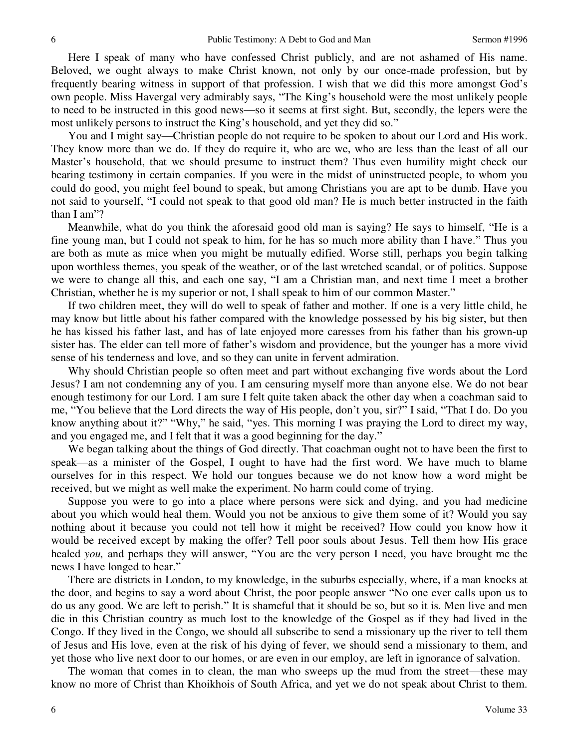Here I speak of many who have confessed Christ publicly, and are not ashamed of His name. Beloved, we ought always to make Christ known, not only by our once-made profession, but by frequently bearing witness in support of that profession. I wish that we did this more amongst God's own people. Miss Havergal very admirably says, "The King's household were the most unlikely people to need to be instructed in this good news—so it seems at first sight. But, secondly, the lepers were the most unlikely persons to instruct the King's household, and yet they did so."

You and I might say—Christian people do not require to be spoken to about our Lord and His work. They know more than we do. If they do require it, who are we, who are less than the least of all our Master's household, that we should presume to instruct them? Thus even humility might check our bearing testimony in certain companies. If you were in the midst of uninstructed people, to whom you could do good, you might feel bound to speak, but among Christians you are apt to be dumb. Have you not said to yourself, "I could not speak to that good old man? He is much better instructed in the faith than I am"?

Meanwhile, what do you think the aforesaid good old man is saying? He says to himself, "He is a fine young man, but I could not speak to him, for he has so much more ability than I have." Thus you are both as mute as mice when you might be mutually edified. Worse still, perhaps you begin talking upon worthless themes, you speak of the weather, or of the last wretched scandal, or of politics. Suppose we were to change all this, and each one say, "I am a Christian man, and next time I meet a brother Christian, whether he is my superior or not, I shall speak to him of our common Master."

If two children meet, they will do well to speak of father and mother. If one is a very little child, he may know but little about his father compared with the knowledge possessed by his big sister, but then he has kissed his father last, and has of late enjoyed more caresses from his father than his grown-up sister has. The elder can tell more of father's wisdom and providence, but the younger has a more vivid sense of his tenderness and love, and so they can unite in fervent admiration.

Why should Christian people so often meet and part without exchanging five words about the Lord Jesus? I am not condemning any of you. I am censuring myself more than anyone else. We do not bear enough testimony for our Lord. I am sure I felt quite taken aback the other day when a coachman said to me, "You believe that the Lord directs the way of His people, don't you, sir?" I said, "That I do. Do you know anything about it?" "Why," he said, "yes. This morning I was praying the Lord to direct my way, and you engaged me, and I felt that it was a good beginning for the day."

We began talking about the things of God directly. That coachman ought not to have been the first to speak—as a minister of the Gospel, I ought to have had the first word. We have much to blame ourselves for in this respect. We hold our tongues because we do not know how a word might be received, but we might as well make the experiment. No harm could come of trying.

Suppose you were to go into a place where persons were sick and dying, and you had medicine about you which would heal them. Would you not be anxious to give them some of it? Would you say nothing about it because you could not tell how it might be received? How could you know how it would be received except by making the offer? Tell poor souls about Jesus. Tell them how His grace healed *you,* and perhaps they will answer, "You are the very person I need, you have brought me the news I have longed to hear."

There are districts in London, to my knowledge, in the suburbs especially, where, if a man knocks at the door, and begins to say a word about Christ, the poor people answer "No one ever calls upon us to do us any good. We are left to perish." It is shameful that it should be so, but so it is. Men live and men die in this Christian country as much lost to the knowledge of the Gospel as if they had lived in the Congo. If they lived in the Congo, we should all subscribe to send a missionary up the river to tell them of Jesus and His love, even at the risk of his dying of fever, we should send a missionary to them, and yet those who live next door to our homes, or are even in our employ, are left in ignorance of salvation.

The woman that comes in to clean, the man who sweeps up the mud from the street—these may know no more of Christ than Khoikhois of South Africa, and yet we do not speak about Christ to them.